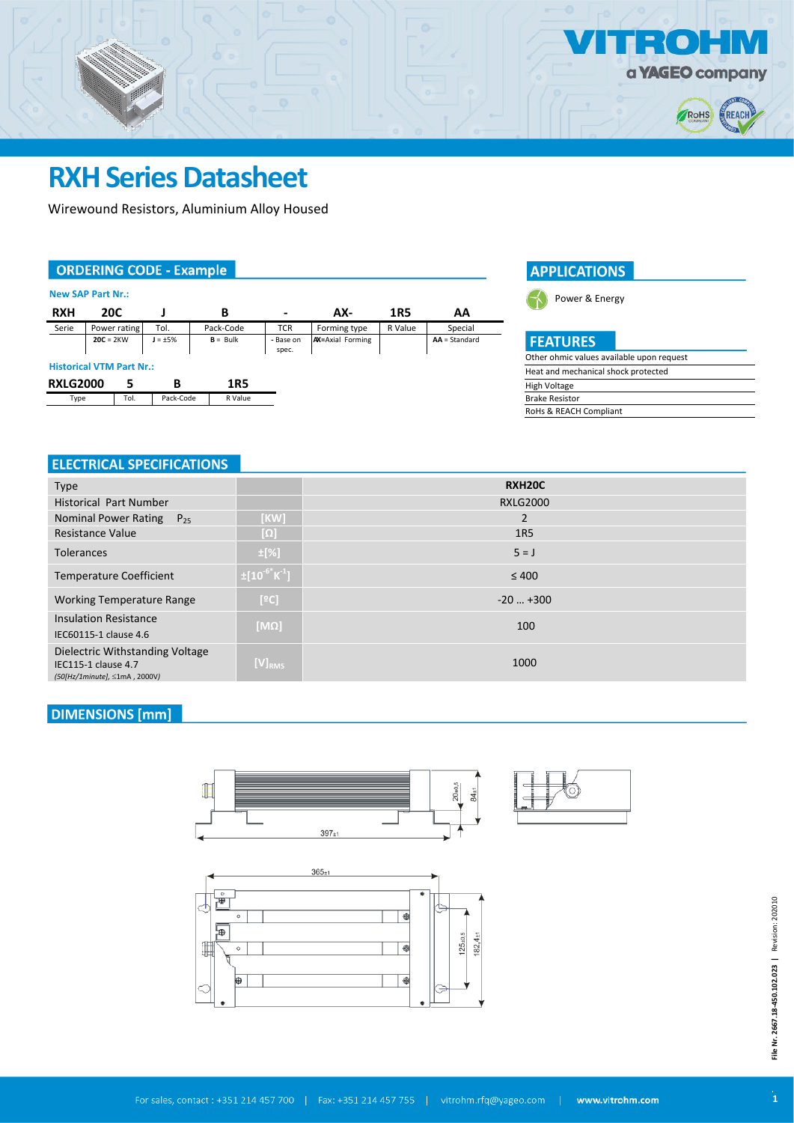

 $\overline{a}$ 

# **RXH Series Datasheet**

Wirewound Resistors, Aluminium Alloy Housed

## **ORDERING CODE - Example**

| <b>New SAP Part Nr.:</b> |  |
|--------------------------|--|
|--------------------------|--|

| <b>RXH</b>                      | 20C |              |               | В          | $\overline{\phantom{0}}$ | AX-                     | 1R5     | AA              |
|---------------------------------|-----|--------------|---------------|------------|--------------------------|-------------------------|---------|-----------------|
| Serie                           |     | Power rating | Tol.          | Pack-Code  | <b>TCR</b>               | Forming type            | R Value | Special         |
| $20C = 2KW$                     |     |              | $J = \pm 5\%$ | $B = Bulk$ | - Base on<br>spec.       | <b>AX=Axial Forming</b> |         | $AA = Standard$ |
| <b>Historical VTM Part Nr.:</b> |     |              |               |            |                          |                         |         |                 |
| <b>RXLG2000</b>                 |     |              | в             | 1R5        |                          |                         |         |                 |
| Type                            |     | Tol.         | Pack-Code     | R Value    |                          |                         |         |                 |

#### **APPLICATIONS**



| <b>FEATURES</b>          |  |
|--------------------------|--|
| Other ohmic values avail |  |

| Other ohmic values available upon request |
|-------------------------------------------|
| Heat and mechanical shock protected       |
| High Voltage                              |
| <b>Brake Resistor</b>                     |
| RoHs & REACH Compliant                    |
|                                           |

## ELECTRICAL SPECIFICATIONS

| <b>Type</b>                      |                                  | RXH20C          |  |  |
|----------------------------------|----------------------------------|-----------------|--|--|
| <b>Historical Part Number</b>    |                                  | <b>RXLG2000</b> |  |  |
| Nominal Power Rating $P_{25}$    | [KW]                             | $\overline{2}$  |  |  |
| <b>Resistance Value</b>          | [Ω]                              | <b>1R5</b>      |  |  |
| <b>Tolerances</b>                | $\pm$ [%]                        | $5 = J$         |  |  |
| <b>Temperature Coefficient</b>   | $\pm [10^{-6}$ K <sup>-1</sup> ] | $\leq 400$      |  |  |
| <b>Working Temperature Range</b> | [°C]                             | $-20$ $+300$    |  |  |
| <b>Insulation Resistance</b>     | $[M\Omega]$                      | 100             |  |  |
| IEC60115-1 clause 4.6            |                                  |                 |  |  |
| Dielectric Withstanding Voltage  |                                  |                 |  |  |
| <b>IEC115-1 clause 4.7</b>       | $[V]_{RMS}$                      | 1000            |  |  |
| (50[Hz/1minute], ≤1mA, 2000V)    |                                  |                 |  |  |

### **DIMENSIONS** [mm]







**File Nr. 2667.18-450.102.023 |** Revision: 202010